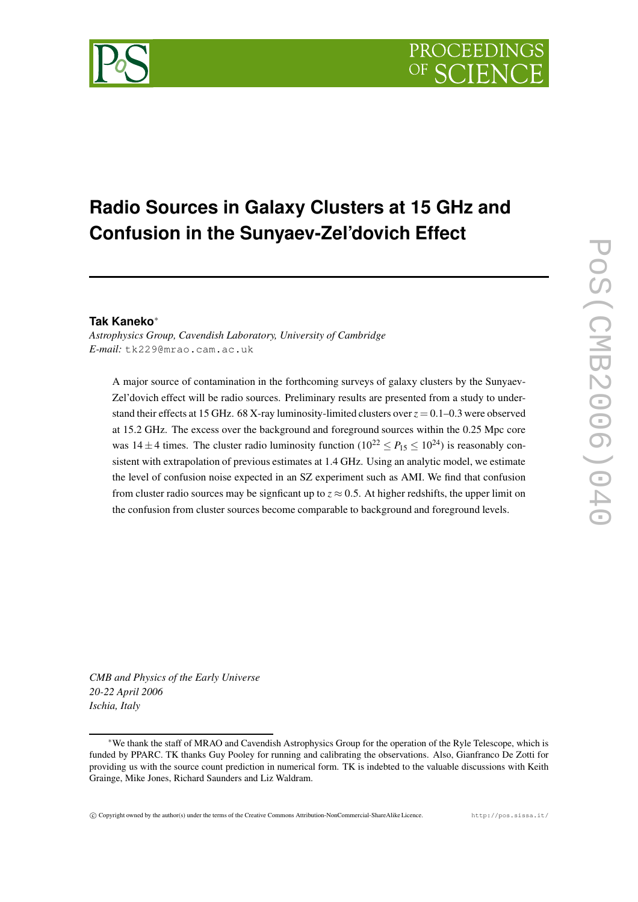# **Radio Sources in Galaxy Clusters at 15 GHz and Confusion in the Sunyaev-Zel'dovich Effect**

## **Tak Kaneko** ∗

*Astrophysics Group, Cavendish Laboratory, University of Cambridge E-mail:* tk229@mrao.cam.ac.uk

A major source of contamination in the forthcoming surveys of galaxy clusters by the Sunyaev-Zel'dovich effect will be radio sources. Preliminary results are presented from a study to understand their effects at 15 GHz. 68 X-ray luminosity-limited clusters over*z* = 0.1–0.3 were observed at 15.2 GHz. The excess over the background and foreground sources within the 0.25 Mpc core was  $14 \pm 4$  times. The cluster radio luminosity function  $(10^{22} \le P_{15} \le 10^{24})$  is reasonably consistent with extrapolation of previous estimates at 1.4 GHz. Using an analytic model, we estimate the level of confusion noise expected in an SZ experiment such as AMI. We find that confusion from cluster radio sources may be signficant up to  $z \approx 0.5$ . At higher redshifts, the upper limit on the confusion from cluster sources become comparable to background and foreground levels.

*CMB and Physics of the Early Universe 20-22 April 2006 Ischia, Italy*

<sup>∗</sup>We thank the staff of MRAO and Cavendish Astrophysics Group for the operation of the Ryle Telescope, which is funded by PPARC. TK thanks Guy Pooley for running and calibrating the observations. Also, Gianfranco De Zotti for providing us with the source count prediction in numerical form. TK is indebted to the valuable discussions with Keith Grainge, Mike Jones, Richard Saunders and Liz Waldram.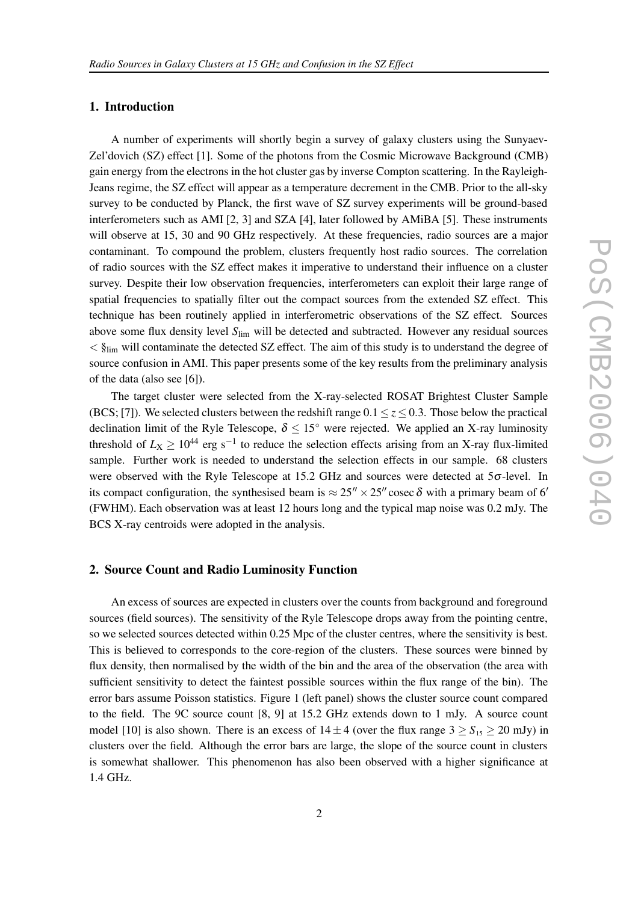#### **1. Introduction**

A number of experiments will shortly begin a survey of galaxy clusters using the Sunyaev-Zel'dovich (SZ) effect [1]. Some of the photons from the Cosmic Microwave Background (CMB) gain energy from the electrons in the hot cluster gas by inverse Compton scattering. In the Rayleigh-Jeans regime, the SZ effect will appear as a temperature decrement in the CMB. Prior to the all-sky survey to be conducted by Planck, the first wave of SZ survey experiments will be ground-based interferometers such as AMI [2, 3] and SZA [4], later followed by AMiBA [5]. These instruments will observe at 15, 30 and 90 GHz respectively. At these frequencies, radio sources are a major contaminant. To compound the problem, clusters frequently host radio sources. The correlation of radio sources with the SZ effect makes it imperative to understand their influence on a cluster survey. Despite their low observation frequencies, interferometers can exploit their large range of spatial frequencies to spatially filter out the compact sources from the extended SZ effect. This technique has been routinely applied in interferometric observations of the SZ effect. Sources above some flux density level *S*lim will be detected and subtracted. However any residual sources  $\langle \xi \rangle$ <sub>lim</sub> will contaminate the detected SZ effect. The aim of this study is to understand the degree of source confusion in AMI. This paper presents some of the key results from the preliminary analysis of the data (also see [6]).

The target cluster were selected from the X-ray-selected ROSAT Brightest Cluster Sample (BCS; [7]). We selected clusters between the redshift range  $0.1 \le z \le 0.3$ . Those below the practical declination limit of the Ryle Telescope,  $\delta \leq 15^{\circ}$  were rejected. We applied an X-ray luminosity threshold of  $L_X \ge 10^{44}$  erg s<sup>-1</sup> to reduce the selection effects arising from an X-ray flux-limited sample. Further work is needed to understand the selection effects in our sample. 68 clusters were observed with the Ryle Telescope at 15.2 GHz and sources were detected at 5σ-level. In its compact configuration, the synthesised beam is  $\approx 25'' \times 25''$  cosec  $\delta$  with a primary beam of 6' (FWHM). Each observation was at least 12 hours long and the typical map noise was 0.2 mJy. The BCS X-ray centroids were adopted in the analysis.

#### **2. Source Count and Radio Luminosity Function**

An excess of sources are expected in clusters over the counts from background and foreground sources (field sources). The sensitivity of the Ryle Telescope drops away from the pointing centre, so we selected sources detected within 0.25 Mpc of the cluster centres, where the sensitivity is best. This is believed to corresponds to the core-region of the clusters. These sources were binned by flux density, then normalised by the width of the bin and the area of the observation (the area with sufficient sensitivity to detect the faintest possible sources within the flux range of the bin). The error bars assume Poisson statistics. Figure 1 (left panel) shows the cluster source count compared to the field. The 9C source count [8, 9] at 15.2 GHz extends down to 1 mJy. A source count model [10] is also shown. There is an excess of  $14 \pm 4$  (over the flux range  $3 \ge S_{15} \ge 20$  mJy) in clusters over the field. Although the error bars are large, the slope of the source count in clusters is somewhat shallower. This phenomenon has also been observed with a higher significance at 1.4 GHz.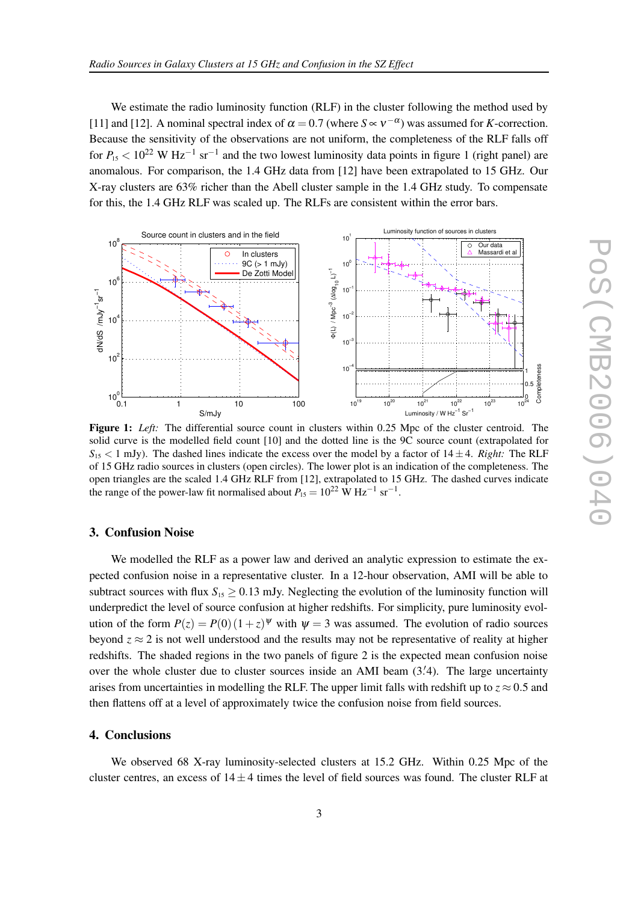We estimate the radio luminosity function (RLF) in the cluster following the method used by [11] and [12]. A nominal spectral index of  $\alpha = 0.7$  (where  $S \propto v^{-\alpha}$ ) was assumed for *K*-correction. Because the sensitivity of the observations are not uniform, the completeness of the RLF falls off for  $P_{15}$  < 10<sup>22</sup> W Hz<sup>-1</sup> sr<sup>-1</sup> and the two lowest luminosity data points in figure 1 (right panel) are anomalous. For comparison, the 1.4 GHz data from [12] have been extrapolated to 15 GHz. Our X-ray clusters are 63% richer than the Abell cluster sample in the 1.4 GHz study. To compensate for this, the 1.4 GHz RLF was scaled up. The RLFs are consistent within the error bars.



**Figure 1:** *Left:* The differential source count in clusters within 0.25 Mpc of the cluster centroid. The solid curve is the modelled field count [10] and the dotted line is the 9C source count (extrapolated for  $S_{15}$  < 1 mJy). The dashed lines indicate the excess over the model by a factor of  $14 \pm 4$ . *Right:* The RLF of 15 GHz radio sources in clusters (open circles). The lower plot is an indication of the completeness. The open triangles are the scaled 1.4 GHz RLF from [12], extrapolated to 15 GHz. The dashed curves indicate the range of the power-law fit normalised about  $P_{15} = 10^{22}$  W Hz<sup>-1</sup> sr<sup>-1</sup>.

### **3. Confusion Noise**

We modelled the RLF as a power law and derived an analytic expression to estimate the expected confusion noise in a representative cluster. In a 12-hour observation, AMI will be able to subtract sources with flux  $S_{15} > 0.13$  mJy. Neglecting the evolution of the luminosity function will underpredict the level of source confusion at higher redshifts. For simplicity, pure luminosity evolution of the form  $P(z) = P(0)(1+z)^{\psi}$  with  $\psi = 3$  was assumed. The evolution of radio sources beyond  $z \approx 2$  is not well understood and the results may not be representative of reality at higher redshifts. The shaded regions in the two panels of figure 2 is the expected mean confusion noise over the whole cluster due to cluster sources inside an AMI beam (3.4). The large uncertainty arises from uncertainties in modelling the RLF. The upper limit falls with redshift up to  $z \approx 0.5$  and then flattens off at a level of approximately twice the confusion noise from field sources.

#### **4. Conclusions**

We observed 68 X-ray luminosity-selected clusters at 15.2 GHz. Within 0.25 Mpc of the cluster centres, an excess of  $14 \pm 4$  times the level of field sources was found. The cluster RLF at